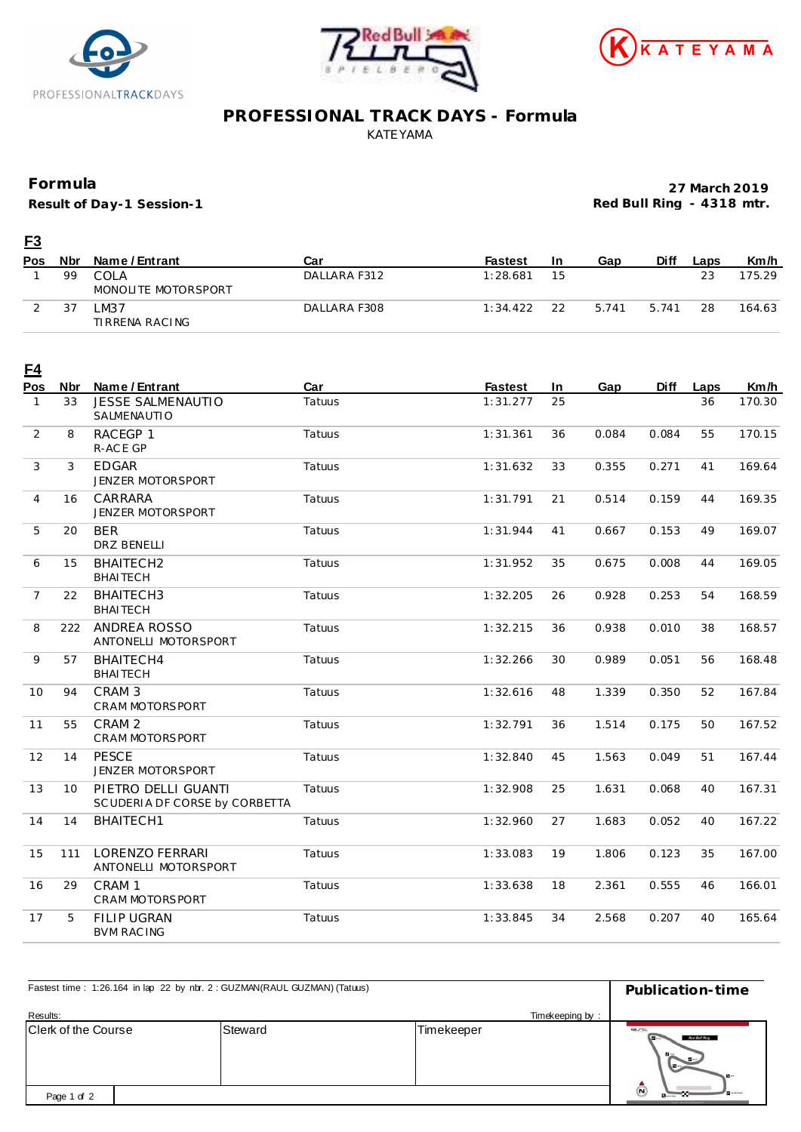





## **PROFESSIONAL TRACK DAYS - Formula** KATEYAMA

## **Formula**

**Result of Day-1 Session-1**

**27 March 2019 Red Bull Ring - 4318 mtr.**

| <u>F3</u>  |            |                             |              |                |    |       |             |      |        |
|------------|------------|-----------------------------|--------------|----------------|----|-------|-------------|------|--------|
| <b>Pos</b> | <b>Nbr</b> | Name / Entrant              | Car          | <b>Fastest</b> | 1n | Gap   | <b>Diff</b> | Laps | Km/h   |
|            | 99         | COLA<br>MONOLITE MOTORSPORT | DALLARA F312 | 1:28.681       | 15 |       |             | 23   | 175.29 |
|            | 37         | -M37<br>TIRRENA RACING      | DALLARA F308 | 1:34.422       | 22 | 5.741 | 5.741       | 28   | 164.63 |

| <u>F4</u><br>Pos | <b>Nbr</b>      | Name / Entrant                                       | Car    | <b>Fastest</b> | In | Gap   | Diff  | Laps | Km/h   |
|------------------|-----------------|------------------------------------------------------|--------|----------------|----|-------|-------|------|--------|
| $\mathbf{1}$     | 33              | <b>JESSE SALMENAUTIO</b><br>SALMENAUTIO              | Tatuus | 1:31.277       | 25 |       |       | 36   | 170.30 |
| $\overline{2}$   | 8               | RACEGP 1<br>R-ACE GP                                 | Tatuus | 1:31.361       | 36 | 0.084 | 0.084 | 55   | 170.15 |
| 3                | 3               | <b>EDGAR</b><br>JENZER MOTORSPORT                    | Tatuus | 1:31.632       | 33 | 0.355 | 0.271 | 41   | 169.64 |
| 4                | 16              | CARRARA<br>JENZER MOTORSPORT                         | Tatuus | 1:31.791       | 21 | 0.514 | 0.159 | 44   | 169.35 |
| 5                | 20              | <b>BER</b><br>DRZ BENELLI                            | Tatuus | 1:31.944       | 41 | 0.667 | 0.153 | 49   | 169.07 |
| 6                | 15              | BHAITECH2<br><b>BHAITECH</b>                         | Tatuus | 1:31.952       | 35 | 0.675 | 0.008 | 44   | 169.05 |
| $\overline{7}$   | 22              | BHAITECH3<br><b>BHAITECH</b>                         | Tatuus | 1:32.205       | 26 | 0.928 | 0.253 | 54   | 168.59 |
| 8                | 222             | ANDREA ROSSO<br>ANTONELLI MOTORSPORT                 | Tatuus | 1:32.215       | 36 | 0.938 | 0.010 | 38   | 168.57 |
| 9                | 57              | BHAITECH4<br><b>BHAITECH</b>                         | Tatuus | 1:32.266       | 30 | 0.989 | 0.051 | 56   | 168.48 |
| 10               | 94              | CRAM <sub>3</sub><br>CRAM MOTORSPORT                 | Tatuus | 1:32.616       | 48 | 1.339 | 0.350 | 52   | 167.84 |
| 11               | 55              | CRAM <sub>2</sub><br>CRAM MOTORSPORT                 | Tatuus | 1:32.791       | 36 | 1.514 | 0.175 | 50   | 167.52 |
| 12               | 14              | <b>PESCE</b><br>JENZER MOTORSPORT                    | Tatuus | 1:32.840       | 45 | 1.563 | 0.049 | 51   | 167.44 |
| 13               | 10 <sup>1</sup> | PIETRO DELLI GUANTI<br>SCUDERIA DF CORSE by CORBETTA | Tatuus | 1:32.908       | 25 | 1.631 | 0.068 | 40   | 167.31 |
| 14               | 14              | BHAITECH1                                            | Tatuus | 1:32.960       | 27 | 1.683 | 0.052 | 40   | 167.22 |
| 15               | 111             | <b>LORENZO FERRARI</b><br>ANTONELLI MOTORSPORT       | Tatuus | 1:33.083       | 19 | 1.806 | 0.123 | 35   | 167.00 |
| 16               | 29              | CRAM <sub>1</sub><br>CRAM MOTORSPORT                 | Tatuus | 1:33.638       | 18 | 2.361 | 0.555 | 46   | 166.01 |
| 17               | 5               | <b>FILIP UGRAN</b><br><b>BVM RACING</b>              | Tatuus | 1:33.845       | 34 | 2.568 | 0.207 | 40   | 165.64 |

| Fastest time: 1:26.164 in lap 22 by nbr. 2: GUZMAN(RAUL GUZMAN) (Tatuus) | Publication-time |                 |                                                                            |
|--------------------------------------------------------------------------|------------------|-----------------|----------------------------------------------------------------------------|
| Results:                                                                 |                  | Timekeeping by: |                                                                            |
| Clerk of the Course                                                      | Steward          | Timekeeper      | erc<br>Red Bull Ring<br>$\mathbf{B}$ –<br><b>Northern</b><br>$-1$          |
| Page 1 of 2                                                              |                  |                 | $\boldsymbol{\omega}$<br><b>B</b> urney<br><b>IF YOU FOUR DRIVER MONEY</b> |